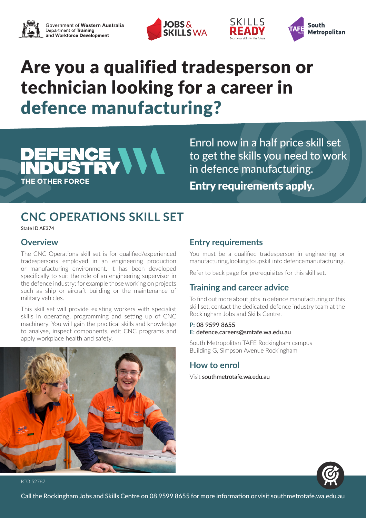





## Are you a qualified tradesperson or technician looking for a career in defence manufacturing?

# CE VVV **THE OTHER FORCE**

Enrol now in a half price skill set to get the skills you need to work in defence manufacturing. Entry requirements apply.

SKILLS

FAN

### **CNC OPERATIONS SKILL SET**

State ID AE374

#### **Overview**

The CNC Operations skill set is for qualified/experienced tradespersons employed in an engineering production or manufacturing environment. It has been developed specifically to suit the role of an engineering supervisor in the defence industry; for example those working on projects such as ship or aircraft building or the maintenance of military vehicles.

This skill set will provide existing workers with specialist skills in operating, programming and setting up of CNC machinery. You will gain the practical skills and knowledge to analyse, inspect components, edit CNC programs and apply workplace health and safety.



#### **Entry requirements**

You must be a qualified tradesperson in engineering or manufacturing, looking to upskill into defence manufacturing.

Refer to back page for prerequisites for this skill set.

#### **Training and career advice**

To find out more about jobs in defence manufacturing or this skill set, contact the dedicated defence industry team at the Rockingham Jobs and Skills Centre.

#### **P:** 08 9599 8655 **E:** defence.careers@smtafe.wa.edu.au

South Metropolitan TAFE Rockingham campus Building G, Simpson Avenue Rockingham

#### **How to enrol**

Visit southmetrotafe.wa.edu.au



RTO 52787